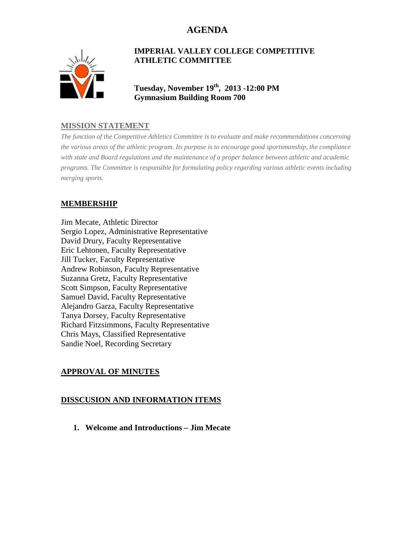# **AGENDA**



#### **IMPERIAL VALLEY COLLEGE COMPETITIVE ATHLETIC COMMITTEE**

**Tuesday, November 19th, 2013 -12:00 PM Gymnasium Building Room 700**

### **MISSION STATEMENT**

*The function of the Competitive Athletics Committee is to evaluate and make recommendations concerning the various areas of the athletic program. Its purpose is to encourage good sportsmanship, the compliance with state and Board regulations and the maintenance of a proper balance between athletic and academic programs. The Committee is responsible for formulating policy regarding various athletic events including merging sports.*

### **MEMBERSHIP**

Jim Mecate, Athletic Director Sergio Lopez, Administrative Representative David Drury, Faculty Representative Eric Lehtonen, Faculty Representative Jill Tucker, Faculty Representative Andrew Robinson, Faculty Representative Suzanna Gretz, Faculty Representative Scott Simpson, Faculty Representative Samuel David, Faculty Representative Alejandro Garza, Faculty Representative Tanya Dorsey, Faculty Representative Richard Fitzsimmons, Faculty Representative Chris Mays, Classified Representative Sandie Noel, Recording Secretary

### **APPROVAL OF MINUTES**

#### **DISSCUSION AND INFORMATION ITEMS**

**1. Welcome and Introductions – Jim Mecate**